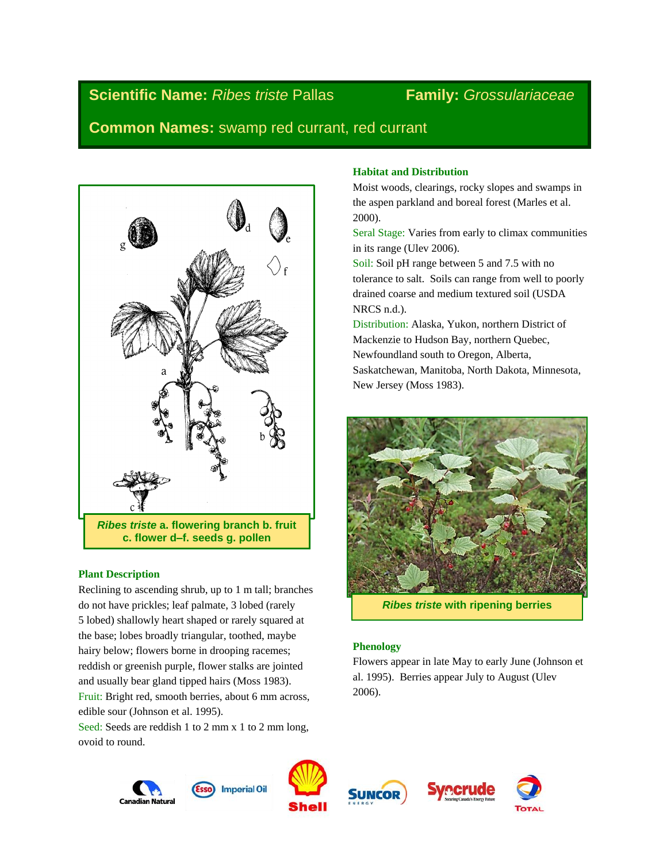# **Scientific Name:** *Ribes triste* Pallas **Family:** *Grossulariaceae*

**Common Names:** swamp red currant, red currant



*Ribes triste* **a. flowering branch b. fruit c. flower d–f. seeds g. pollen**

# **Plant Description**

Reclining to ascending shrub, up to 1 m tall; branches do not have prickles; leaf palmate, 3 lobed (rarely 5 lobed) shallowly heart shaped or rarely squared at the base; lobes broadly triangular, toothed, maybe hairy below; flowers borne in drooping racemes; reddish or greenish purple, flower stalks are jointed and usually bear gland tipped hairs (Moss 1983). Fruit: Bright red, smooth berries, about 6 mm across, edible sour (Johnson et al. 1995).

Seed: Seeds are reddish 1 to 2 mm x 1 to 2 mm long, ovoid to round.

## **Habitat and Distribution**

Moist woods, clearings, rocky slopes and swamps in the aspen parkland and boreal forest (Marles et al. 2000).

Seral Stage: Varies from early to climax communities in its range (Ulev 2006).

Soil: Soil pH range between 5 and 7.5 with no tolerance to salt. Soils can range from well to poorly drained coarse and medium textured soil (USDA NRCS n.d.).

Distribution: Alaska, Yukon, northern District of Mackenzie to Hudson Bay, northern Quebec, Newfoundland south to Oregon, Alberta, Saskatchewan, Manitoba, North Dakota, Minnesota, New Jersey (Moss 1983).



*Ribes triste* **with ripening berries**

# **Phenology**

Flowers appear in late May to early June (Johnson et al. 1995). Berries appear July to August (Ulev 2006).





**Imperial Oil** 



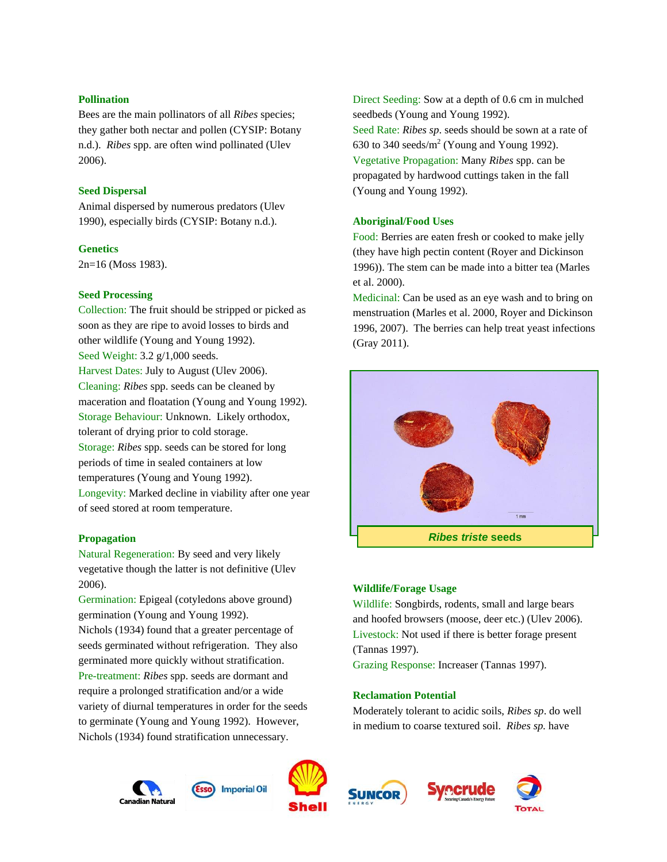#### **Pollination**

Bees are the main pollinators of all *Ribes* species; they gather both nectar and pollen (CYSIP: Botany n.d.). *Ribes* spp. are often wind pollinated (Ulev 2006).

### **Seed Dispersal**

Animal dispersed by numerous predators (Ulev 1990), especially birds (CYSIP: Botany n.d.).

#### **Genetics**

2n=16 (Moss 1983).

#### **Seed Processing**

Collection: The fruit should be stripped or picked as soon as they are ripe to avoid losses to birds and other wildlife (Young and Young 1992). Seed Weight: 3.2 g/1,000 seeds. Harvest Dates: July to August (Ulev 2006). Cleaning: *Ribes* spp. seeds can be cleaned by maceration and floatation (Young and Young 1992). Storage Behaviour: Unknown. Likely orthodox, tolerant of drying prior to cold storage. Storage: *Ribes* spp. seeds can be stored for long periods of time in sealed containers at low temperatures (Young and Young 1992). Longevity: Marked decline in viability after one year of seed stored at room temperature.

### **Propagation**

Natural Regeneration: By seed and very likely vegetative though the latter is not definitive (Ulev 2006).

Germination: Epigeal (cotyledons above ground) germination (Young and Young 1992). Nichols (1934) found that a greater percentage of seeds germinated without refrigeration. They also germinated more quickly without stratification. Pre-treatment: *Ribes* spp. seeds are dormant and require a prolonged stratification and/or a wide variety of diurnal temperatures in order for the seeds to germinate (Young and Young 1992). However, Nichols (1934) found stratification unnecessary.

630 to 340 seeds/ $m^2$  (Young and Young 1992). Vegetative Propagation: Many *Ribes* spp. can be propagated by hardwood cuttings taken in the fall (Young and Young 1992). **Aboriginal/Food Uses**

seedbeds (Young and Young 1992).

Food: Berries are eaten fresh or cooked to make jelly (they have high pectin content (Royer and Dickinson 1996)). The stem can be made into a bitter tea (Marles et al. 2000).

Direct Seeding: Sow at a depth of 0.6 cm in mulched

Seed Rate: *Ribes sp*. seeds should be sown at a rate of

Medicinal: Can be used as an eye wash and to bring on menstruation (Marles et al. 2000, Royer and Dickinson 1996, 2007). The berries can help treat yeast infections (Gray 2011).



#### **Wildlife/Forage Usage**

Wildlife: Songbirds, rodents, small and large bears and hoofed browsers (moose, deer etc.) (Ulev 2006). Livestock: Not used if there is better forage present (Tannas 1997).

Grazing Response: Increaser (Tannas 1997).

#### **Reclamation Potential**

Moderately tolerant to acidic soils, *Ribes sp*. do well in medium to coarse textured soil. *Ribes sp.* have









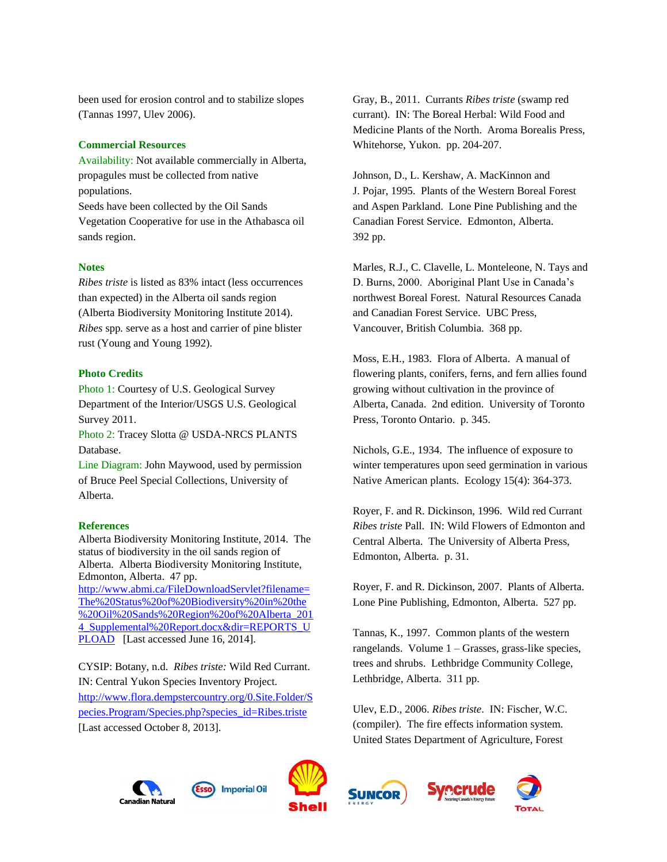been used for erosion control and to stabilize slopes (Tannas 1997, Ulev 2006).

### **Commercial Resources**

Availability: Not available commercially in Alberta, propagules must be collected from native populations. Seeds have been collected by the Oil Sands Vegetation Cooperative for use in the Athabasca oil sands region.

#### **Notes**

*Ribes triste* is listed as 83% intact (less occurrences than expected) in the Alberta oil sands region (Alberta Biodiversity Monitoring Institute 2014). *Ribes* spp*.* serve as a host and carrier of pine blister rust (Young and Young 1992).

#### **Photo Credits**

Photo 1: Courtesy of U.S. Geological Survey Department of the Interior/USGS U.S. Geological Survey 2011.

Photo 2: Tracey Slotta @ USDA-NRCS PLANTS Database.

Line Diagram: John Maywood, used by permission of Bruce Peel Special Collections, University of Alberta.

#### **References**

Alberta Biodiversity Monitoring Institute, 2014. The status of biodiversity in the oil sands region of Alberta. Alberta Biodiversity Monitoring Institute, Edmonton, Alberta. 47 pp.

[http://www.abmi.ca/FileDownloadServlet?filename=](http://www.abmi.ca/FileDownloadServlet?filename=The%20Status%20of%20Biodiversity%20in%20the%20Oil%20Sands%20Region%20of%20Alberta_2014_Supplemental%20Report.docx&dir=REPORTS_UPLOAD) [The%20Status%20of%20Biodiversity%20in%20the](http://www.abmi.ca/FileDownloadServlet?filename=The%20Status%20of%20Biodiversity%20in%20the%20Oil%20Sands%20Region%20of%20Alberta_2014_Supplemental%20Report.docx&dir=REPORTS_UPLOAD) [%20Oil%20Sands%20Region%20of%20Alberta\\_201](http://www.abmi.ca/FileDownloadServlet?filename=The%20Status%20of%20Biodiversity%20in%20the%20Oil%20Sands%20Region%20of%20Alberta_2014_Supplemental%20Report.docx&dir=REPORTS_UPLOAD) 4 Supplemental%20Report.docx&dir=REPORTS\_U [PLOAD](http://www.abmi.ca/FileDownloadServlet?filename=The%20Status%20of%20Biodiversity%20in%20the%20Oil%20Sands%20Region%20of%20Alberta_2014_Supplemental%20Report.docx&dir=REPORTS_UPLOAD) [Last accessed June 16, 2014].

CYSIP: Botany, n.d. *Ribes triste:* Wild Red Currant. IN: Central Yukon Species Inventory Project. [http://www.flora.dempstercountry.org/0.Site.Folder/S](http://www.flora.dempstercountry.org/0.Site.Folder/Species.Program/Species.php?species_id=Ribes.triste) [pecies.Program/Species.php?species\\_id=Ribes.triste](http://www.flora.dempstercountry.org/0.Site.Folder/Species.Program/Species.php?species_id=Ribes.triste)  [Last accessed October 8, 2013].

Gray, B., 2011. Currants *Ribes triste* (swamp red currant). IN: The Boreal Herbal: Wild Food and Medicine Plants of the North. Aroma Borealis Press, Whitehorse, Yukon. pp. 204-207.

Johnson, D., L. Kershaw, A. MacKinnon and J. Pojar, 1995. Plants of the Western Boreal Forest and Aspen Parkland. Lone Pine Publishing and the Canadian Forest Service. Edmonton, Alberta. 392 pp.

Marles, R.J., C. Clavelle, L. Monteleone, N. Tays and D. Burns, 2000. Aboriginal Plant Use in Canada's northwest Boreal Forest. Natural Resources Canada and Canadian Forest Service. UBC Press, Vancouver, British Columbia. 368 pp.

Moss, E.H., 1983. Flora of Alberta. A manual of flowering plants, conifers, ferns, and fern allies found growing without cultivation in the province of Alberta, Canada. 2nd edition. University of Toronto Press, Toronto Ontario. p. 345.

Nichols, G.E., 1934. The influence of exposure to winter temperatures upon seed germination in various Native American plants. Ecology 15(4): 364-373.

Royer, F. and R. Dickinson, 1996. Wild red Currant *Ribes triste* Pall. IN: Wild Flowers of Edmonton and Central Alberta. The University of Alberta Press, Edmonton, Alberta. p. 31.

Royer, F. and R. Dickinson, 2007. Plants of Alberta. Lone Pine Publishing, Edmonton, Alberta. 527 pp.

Tannas, K., 1997. Common plants of the western rangelands. Volume 1 – Grasses, grass-like species, trees and shrubs. Lethbridge Community College, Lethbridge, Alberta. 311 pp.

Ulev, E.D., 2006. *Ribes triste*. IN: Fischer, W.C. (compiler). The fire effects information system. United States Department of Agriculture, Forest